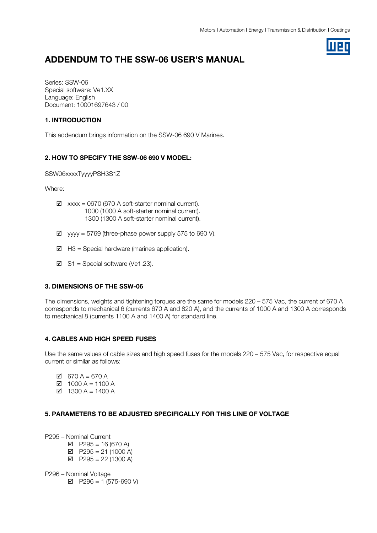# ADDENDUM TO THE SSW-06 USER'S MANUAL

Series: SSW-06 Special software: Ve1.XX Language: English Document: 10001697643 / 00

#### 1. INTRODUCTION

This addendum brings information on the SSW-06 690 V Marines.

### 2. HOW TO SPECIFY THE SSW-06 690 V MODEL:

SSW06xxxxTyyyyPSH3S1Z

Where:

- $\boxtimes$  xxxx = 0670 (670 A soft-starter nominal current). 1000 (1000 A soft-starter nominal current). 1300 (1300 A soft-starter nominal current).
- $\boxtimes$  yyyy = 5769 (three-phase power supply 575 to 690 V).
- $\boxtimes$  H3 = Special hardware (marines application).
- $\boxtimes$  S1 = Special software (Ve1.23).

#### 3. DIMENSIONS OF THE SSW-06

The dimensions, weights and tightening torques are the same for models 220 – 575 Vac, the current of 670 A corresponds to mechanical 6 (currents 670 A and 820 A), and the currents of 1000 A and 1300 A corresponds to mechanical 8 (currents 1100 A and 1400 A) for standard line.

#### 4. CABLES AND HIGH SPEED FUSES

Use the same values of cable sizes and high speed fuses for the models 220 – 575 Vac, for respective equal current or similar as follows:

- $\boxtimes$  670 A = 670 A
- $\boxtimes$  1000 A = 1100 A
- $\overline{M}$  1300 A = 1400 A

#### 5. PARAMETERS TO BE ADJUSTED SPECIFICALLY FOR THIS LINE OF VOLTAGE

P295 – Nominal Current

- $\boxtimes$  P295 = 16 (670 A)
- $\boxtimes$  P295 = 21 (1000 A)
- $\boxtimes$  P295 = 22 (1300 A)

P296 – Nominal Voltage

 $\boxtimes$  P296 = 1 (575-690 V)